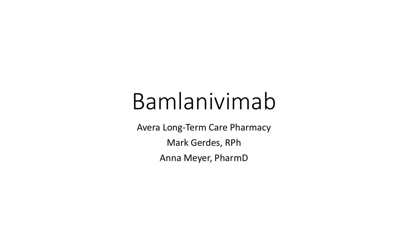# Bamlanivimab

Avera Long-Term Care Pharmacy Mark Gerdes, RPh Anna Meyer, PharmD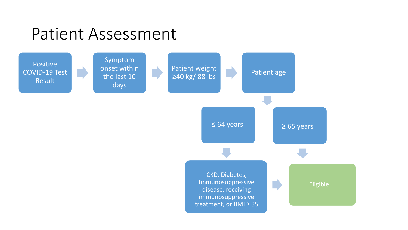### Patient Assessment

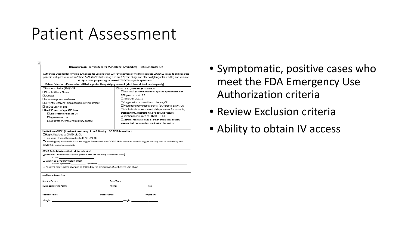### Patient Assessment

|                                                                                                                                                                                                                                                                                                                                                      | Bamlanivimab - Lilly (COVID-19 Monoclonal Antibodies) - Infusion Order Set                                                                                                                                                                                                                                                                                                                                                                                                                                                                       |
|------------------------------------------------------------------------------------------------------------------------------------------------------------------------------------------------------------------------------------------------------------------------------------------------------------------------------------------------------|--------------------------------------------------------------------------------------------------------------------------------------------------------------------------------------------------------------------------------------------------------------------------------------------------------------------------------------------------------------------------------------------------------------------------------------------------------------------------------------------------------------------------------------------------|
|                                                                                                                                                                                                                                                                                                                                                      | Authorized Use: Bamlanivimab is authorized for use under an EUA for treatment of mild to moderate COVID-19 in adults and pediatric<br>patients with positive results of direct SARS-CoV-2 viral testing who are 12 years of age and older weighing at least 40 kg, and who are<br>at high risk for progressing to severe COVID-19 and/or hospitalization.                                                                                                                                                                                        |
|                                                                                                                                                                                                                                                                                                                                                      | Patient Selection - Please select all that apply for the qualifying resident (Must have at least one to qualify)                                                                                                                                                                                                                                                                                                                                                                                                                                 |
| □Body mass index (BMI) ≥ 35<br>□Chronic Kidney Disease<br><b>ODiabetes</b><br>□Immunosuppressive disease<br>□Currently receiving immunosuppressive treatment<br>$\Box$ Are $\geq$ 65 years of age<br>□ Are ≥55 years of age AND have<br>□Cardiovascular disease OR<br>□Hypertension OR<br>□COPD/other chronic respiratory disease                    | □Are 12-17 years of age AND have<br>□BMI ≥85 <sup>th</sup> percentile for their age and gender based on<br>CDC growth charts OR<br>ESickle Cell Disease<br>□ Congenital or acquired heart disease, OR<br>□Neurodevelopmental disorders, (ex. cerebral palsy), OR<br>□Medical-related technological dependence, for example,<br>tracheostomy, gastrostomy, or positive pressure<br>ventilation (not related to COVID-19), OR<br>$\Box$ Asthma, reactive airway or other chronic respiratory<br>disease that requires daily medication for control |
|                                                                                                                                                                                                                                                                                                                                                      |                                                                                                                                                                                                                                                                                                                                                                                                                                                                                                                                                  |
| Limitations of USE: (if resident meets any of the following - DO NOT Administer):<br>□Hospitalized due to COVID-19, OR<br>□ Requiring Oxygen therapy due to COVID-19, OR<br>COVID-19 related comorbidity<br>COVID Test: (Must meet both of the following)<br>□Positive COVID-19 Test : (Send positive test results along with order form)<br>+ Date: | □Requiring any increase in baseline oxygen flow rate due to COVID-19 in those on chronic oxygen therapy due to underlying non-                                                                                                                                                                                                                                                                                                                                                                                                                   |
| $\Box$ Within 10 days of symptom onset<br>$\Box$ Resident meets criteria for use as defined by the Limitations of Authorized Use above                                                                                                                                                                                                               |                                                                                                                                                                                                                                                                                                                                                                                                                                                                                                                                                  |
| <b>Resident Information:</b>                                                                                                                                                                                                                                                                                                                         |                                                                                                                                                                                                                                                                                                                                                                                                                                                                                                                                                  |
|                                                                                                                                                                                                                                                                                                                                                      |                                                                                                                                                                                                                                                                                                                                                                                                                                                                                                                                                  |
|                                                                                                                                                                                                                                                                                                                                                      | Nurse Completing Form: Nurse Completing Fax: Nurse Completing Fax: Nurse Completing Fax: Nurse Completing Fax:                                                                                                                                                                                                                                                                                                                                                                                                                                   |
|                                                                                                                                                                                                                                                                                                                                                      |                                                                                                                                                                                                                                                                                                                                                                                                                                                                                                                                                  |

- Symptomatic, positive cases who meet the FDA Emergency Use Authorization criteria
- Review Exclusion criteria
- Ability to obtain IV access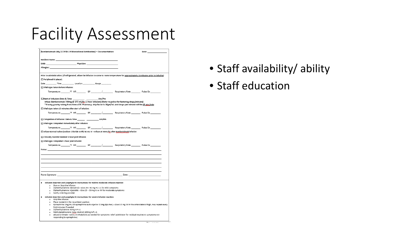# Facility Assessment

| Bamlanivimab Lilly (COVID-19 Monoclonal Antibodies) - Documentation                                                                                                                                                            |  | Date: |  |  |
|--------------------------------------------------------------------------------------------------------------------------------------------------------------------------------------------------------------------------------|--|-------|--|--|
|                                                                                                                                                                                                                                |  |       |  |  |
| Physician:<br>DOB:                                                                                                                                                                                                             |  |       |  |  |
| Allergies:                                                                                                                                                                                                                     |  |       |  |  |
|                                                                                                                                                                                                                                |  |       |  |  |
| Prior to administration: (If refrigerated, allow the infusion to come to room temperature for approximately 20 minutes prior to infusing)                                                                                      |  |       |  |  |
| □ Peripheral IV placed:                                                                                                                                                                                                        |  |       |  |  |
| Date Time Location Gauge                                                                                                                                                                                                       |  |       |  |  |
| □ Vital signs taken before infusion:                                                                                                                                                                                           |  |       |  |  |
| Temperature <sup>o</sup> f HR BP / Respiratory Rate Pulse Ox                                                                                                                                                                   |  |       |  |  |
| □Start of Infusion: Date & Time<br>Am/Pm                                                                                                                                                                                       |  |       |  |  |
| Infuse Bamlanivimab 700mg @ 270 mL/hr (1 hour infusion) (Refer to policy for factoring drops/minute)                                                                                                                           |  |       |  |  |
| *If using gravity tubing from Avera LTC Pharmacy, drip factor is 10gtt/mL and drops per minute will be 45 gtts/min                                                                                                             |  |       |  |  |
| $\Box$ Vital signs taken 15 minutes after start of infusion:                                                                                                                                                                   |  |       |  |  |
|                                                                                                                                                                                                                                |  |       |  |  |
| □ Completion of Infusion: Date & Time __________________________ Am/Pm                                                                                                                                                         |  |       |  |  |
| $\Box$ Vital signs completed immediately after infusion:                                                                                                                                                                       |  |       |  |  |
|                                                                                                                                                                                                                                |  |       |  |  |
| □ Infuse Normal Saline (Sodium Chloride 0.9%) 50 mL IV - Infuse at 50mL/hr after Bamlanivimab infusion                                                                                                                         |  |       |  |  |
|                                                                                                                                                                                                                                |  |       |  |  |
| □ Clinically monitor resident 1 hour post infusion                                                                                                                                                                             |  |       |  |  |
| □ Vital signs completed 1 hour post infusion                                                                                                                                                                                   |  |       |  |  |
|                                                                                                                                                                                                                                |  |       |  |  |
|                                                                                                                                                                                                                                |  |       |  |  |
|                                                                                                                                                                                                                                |  |       |  |  |
|                                                                                                                                                                                                                                |  |       |  |  |
|                                                                                                                                                                                                                                |  |       |  |  |
|                                                                                                                                                                                                                                |  |       |  |  |
|                                                                                                                                                                                                                                |  |       |  |  |
|                                                                                                                                                                                                                                |  |       |  |  |
| Nurse Signature: National Accounts of the Contract of the Contract of the Contract of the Contract of the Contract of the Contract of the Contract of the Contract of the Contract of the Contract of the Contract of the Cont |  |       |  |  |
|                                                                                                                                                                                                                                |  |       |  |  |
| Infusion Reaction and Anaphylactic Instructions for mild to moderate infusion reaction                                                                                                                                         |  |       |  |  |
| o Slow or Stop the infusion                                                                                                                                                                                                    |  |       |  |  |
| Diphenhydramine (Benadryl) - Give 25 - 50 mg PO x 1 for mild symptoms<br>$\circ$<br>o Diphenhydramine injectable - Give 25 - 50 mg IV or IM for moderate symptoms                                                              |  |       |  |  |
| o Notify ordering provider                                                                                                                                                                                                     |  |       |  |  |
| Infusion Reaction and Anaphylactic Instructions for severe infusion reaction                                                                                                                                                   |  |       |  |  |
| o Stop the infusion                                                                                                                                                                                                            |  |       |  |  |
| o Place resident in the recumbent position<br>o Epinephrine 1mg/mL OR epinephrine auto-injector 0.3mg (Epi-Pen) - Give 0.3 mg IM in the anterolateral thigh, may repeat every                                                  |  |       |  |  |
| 5-10 minutes if needed                                                                                                                                                                                                         |  |       |  |  |
| Diphenhydramine 50mg IVP x1<br>$\circ$                                                                                                                                                                                         |  |       |  |  |
| Methylprednisolone (Solu-Medrol) 125mg IVP x 1<br>ο.                                                                                                                                                                           |  |       |  |  |
| Albuterol inhaler-Give 2-3 inhalations as needed for symptoms relief (administer for residual respiratory symptoms not<br>۰<br>responding to epinephrine)                                                                      |  |       |  |  |
|                                                                                                                                                                                                                                |  |       |  |  |
|                                                                                                                                                                                                                                |  |       |  |  |

- Staff availability/ ability
- Staff education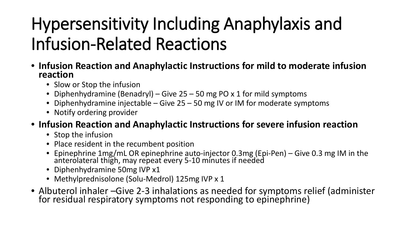# Hypersensitivity Including Anaphylaxis and Infusion-Related Reactions

- **Infusion Reaction and Anaphylactic Instructions for mild to moderate infusion reaction**
	- Slow or Stop the infusion
	- Diphenhydramine (Benadryl) Give 25 50 mg PO x 1 for mild symptoms
	- Diphenhydramine injectable Give 25 50 mg IV or IM for moderate symptoms
	- Notify ordering provider
- **Infusion Reaction and Anaphylactic Instructions for severe infusion reaction**
	- Stop the infusion
	- Place resident in the recumbent position
	- Epinephrine 1mg/mL OR epinephrine auto-injector 0.3mg (Epi-Pen) Give 0.3 mg IM in the anterolateral thigh, may repeat every 5-10 minutes if needed
	- Diphenhydramine 50mg IVP x1
	- Methylprednisolone (Solu-Medrol) 125mg IVP x 1
- Albuterol inhaler –Give 2-3 inhalations as needed for symptoms relief (administer for residual respiratory symptoms not responding to epinephrine)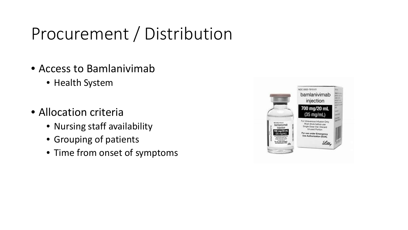# Procurement / Distribution

- Access to Bamlanivimab
	- Health System
- Allocation criteria
	- Nursing staff availability
	- Grouping of patients
	- Time from onset of symptoms

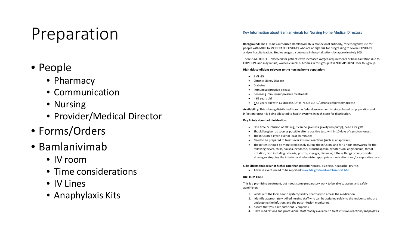# Preparation

### • People

- Pharmacy
- Communication
- Nursing
- Provider/Medical Director
- Forms/Orders
- Bamlanivimab
	- IV room
	- Time considerations
	- IV Lines
	- Anaphylaxis Kits

#### Key Information about Bamlanivimab for Nursing Home Medical Directors

**Background:** The FDA has authorized Bamlanivimab, a monoclonal antibody, for emergency use for people with MILD to MODERATE COVID-19 who are at high risk for progressing to severe COVID-19 and/or hospitalization. Studies suggest a decrease in hospitalizations by approximately 30%.

There is NO BENEFIT observed for patients with increased oxygen requirements or hospitalization due to COVID -19, and may in fact, worsen clinical outcomes in this group. It is NOT APPROVED for this group.

#### **High risk conditions relevant to the nursing home population:**

- BMI>35
- Chronic Kidney Disease
- Diabetes
- Immunosuppressive disease
- Receiving immunosuppressive treatments
- $\bullet$  > 65 years old
- > 55 years old with CV disease, OR HTN, OR COPD/Chronic respiratory disease

**Availability:** This is being distributed from the federal government to states based on population and infection rates; it is being allocated to health systems in each state for distribution.

#### **Key Points about administration:**

- One time IV infusion of 700 mg; it can be given via gravity (no pump), need a 22 g IV
- Should be given as soon as possible after a positive test, within 10 days of symptom onset
- The infusion is given over at least 60 minutes
- Need to be prepared to treat sever infusion reactions (such as anaphylaxis)
- The patient should be monitored closely during the infusion, and for 1 hour afterwards for the following: fever, chills, nausea, headache, bronchospasm, hypotension, angioedema, throat irritation, rash including urticaria, pruritis, myalgia, dizziness; if these things occur, consider slowing or stopping the infusion and administer appropriate medications and/or supportive care

**Side Effects that occur at higher rate than placebo:**Nausea, dizziness, headache, pruritis

• Adverse events need to be reported www.fda.gov/medwatch/report.htm

#### **BOTTOM LINE:**

This is a promising treatment, but needs some preparatory work to be able to access and safely administer:

- 1. Work with the local health system/facility pharmacy to access the medication
- 2. Identify appropriately skilled nursing staff who can be assigned solely to the residents who are undergoing the infusion, and the post -infusion monitoring.
- 3. Assure that you have sufficient IV supplies
- 4. Have medications and professional staff readily available to treat infusion reactions/anaphylaxis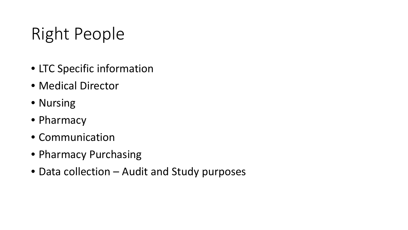# Right People

- LTC Specific information
- Medical Director
- Nursing
- Pharmacy
- Communication
- Pharmacy Purchasing
- Data collection Audit and Study purposes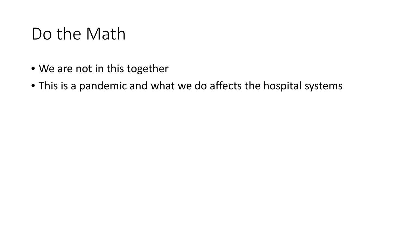# Do the Math

- We are not in this together
- This is a pandemic and what we do affects the hospital systems